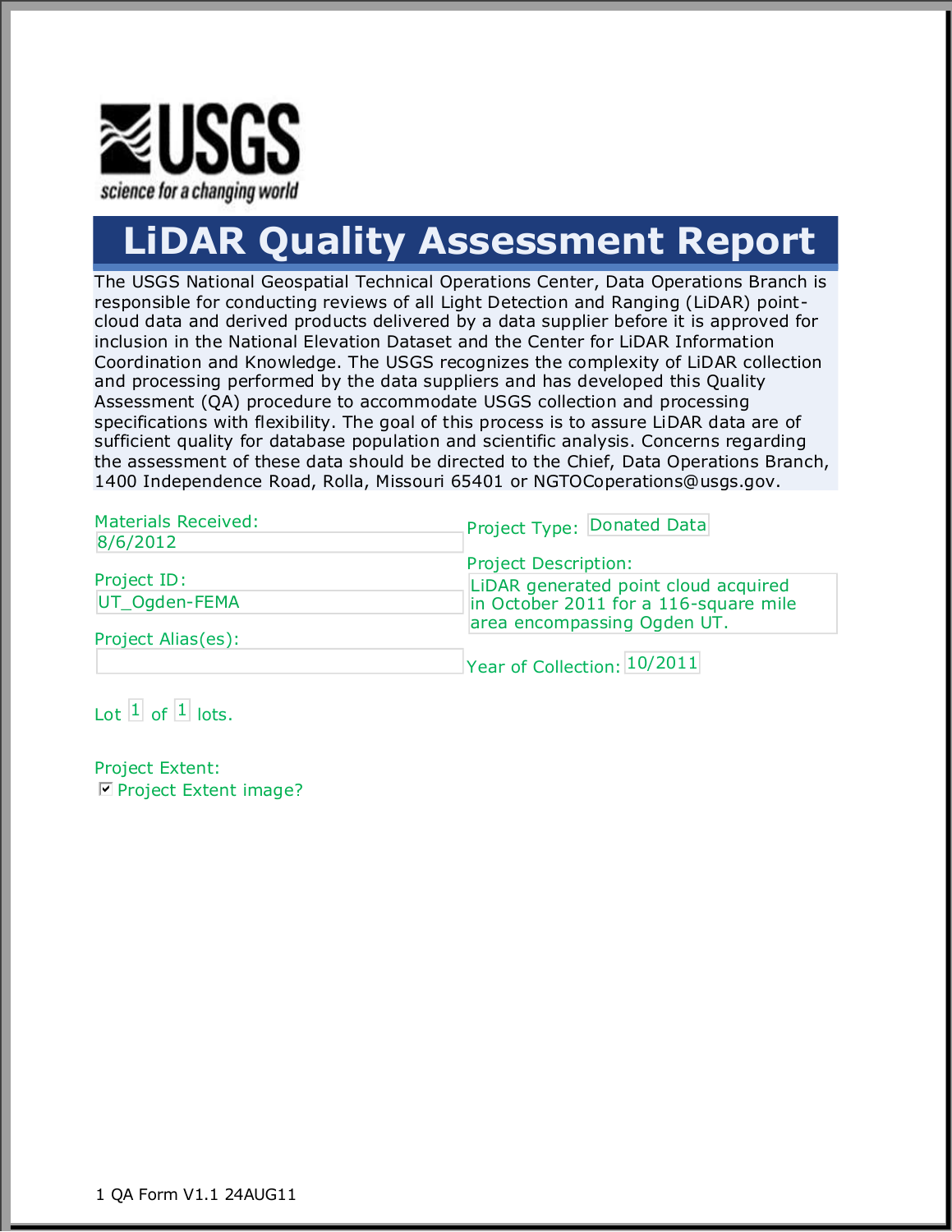

# **LiDAR Quality Assessment Report**

The USGS National Geospatial Technical Operations Center, Data Operations Branch is responsible for conducting reviews of all Light Detection and Ranging (LiDAR) pointcloud data and derived products delivered by a data supplier before it is approved for inclusion in the National Elevation Dataset and the Center for LiDAR Information Coordination and Knowledge. The USGS recognizes the complexity of LiDAR collection and processing performed by the data suppliers and has developed this Quality Assessment (QA) procedure to accommodate USGS collection and processing specifications with flexibility. The goal of this process is to assure LiDAR data are of sufficient quality for database population and scientific analysis. Concerns regarding the assessment of these data should be directed to the Chief, Data Operations Branch, 1400 Independence Road, Rolla, Missouri 65401 or NGTOCoperations@usgs.gov.

| <b>Materials Received:</b><br>8/6/2012 | Project Type: Donated Data            |  |  |  |
|----------------------------------------|---------------------------------------|--|--|--|
|                                        | <b>Project Description:</b>           |  |  |  |
| Project ID:                            | LIDAR generated point cloud acquired  |  |  |  |
| UT Ogden-FEMA                          | in October 2011 for a 116-square mile |  |  |  |
|                                        | area encompassing Ogden UT.           |  |  |  |
| Project Alias(es):                     |                                       |  |  |  |
|                                        | Year of Collection: 10/2011           |  |  |  |

Lot 1 of 1 lots.

Project Extent:  $\nabla$  Project Extent image?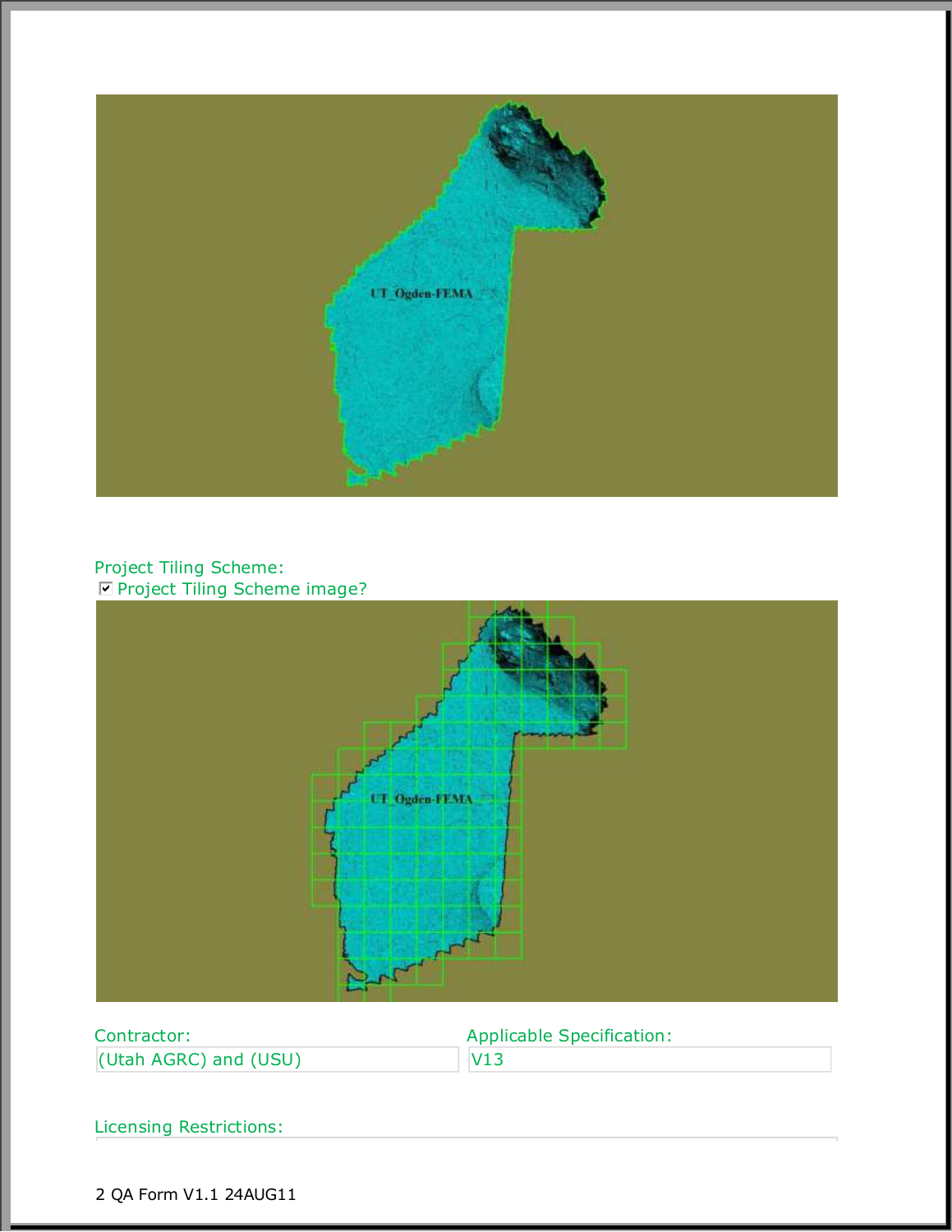

#### Project Tiling Scheme: **Ø Project Tiling Scheme image?**



| Contractor:           | <b>Applicable Specification:</b> |
|-----------------------|----------------------------------|
| (Utah AGRC) and (USU) | V13                              |

Licensing Restrictions: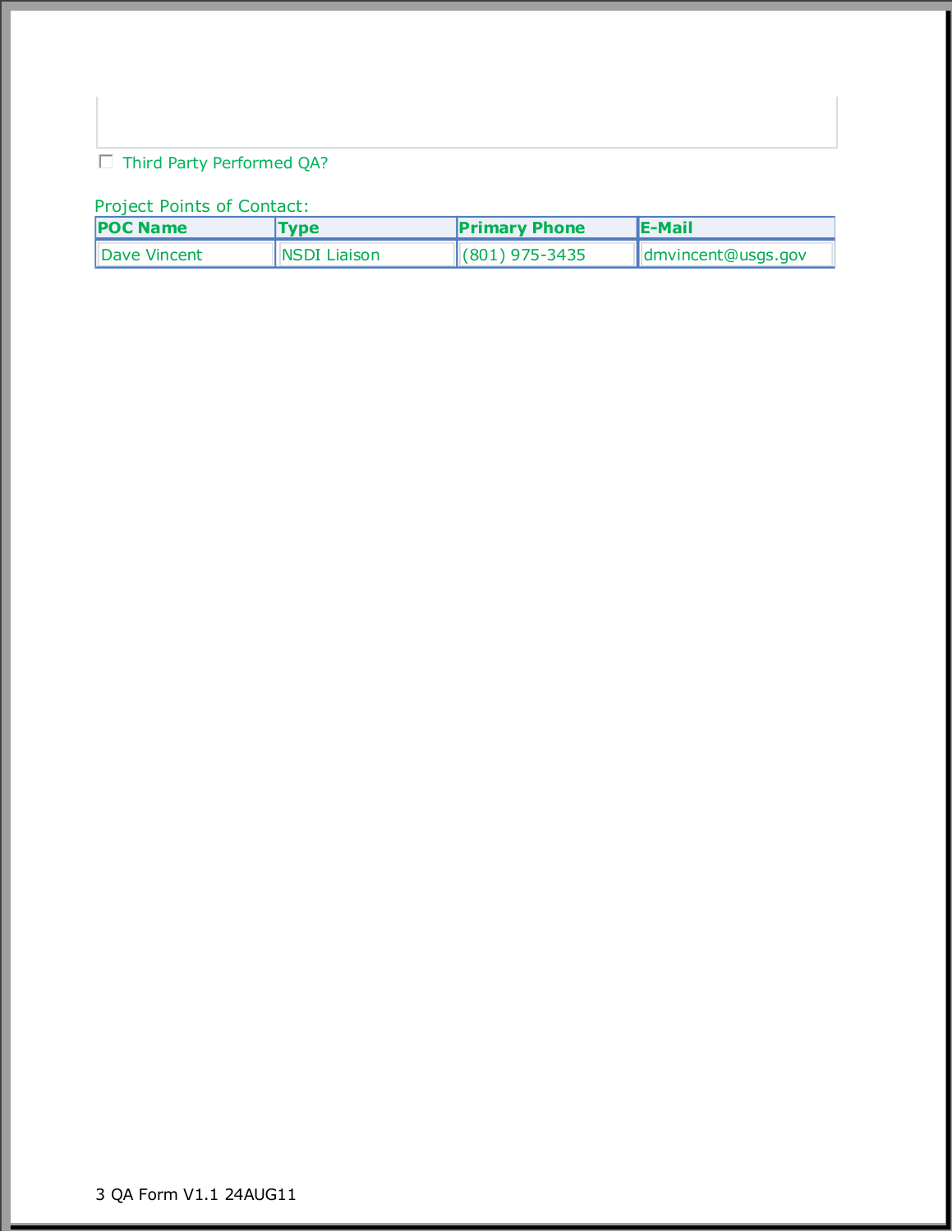## $\Box$  Third Party Performed QA?

### Project Points of Contact:

| <b>POC Name</b> | <b>Type</b>         | <b>Primary Phone</b> | lE-Mail            |  |
|-----------------|---------------------|----------------------|--------------------|--|
| Dave Vincent    | <b>NSDI Liaison</b> | $ (801)$ 975-3435    | dmvincent@usgs.gov |  |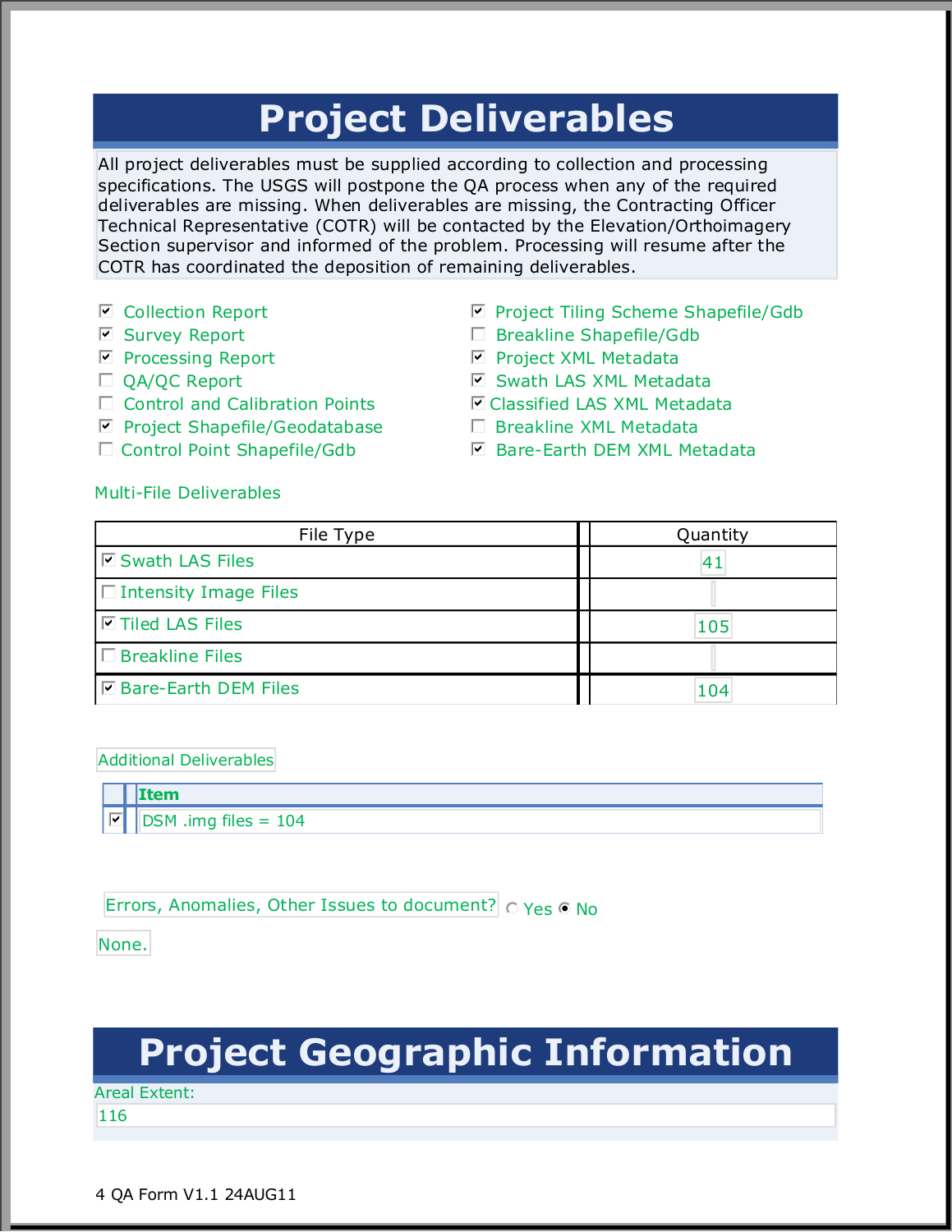## **Project Deliverables**

All project deliverables must be supplied according to collection and processing specifications. The USGS will postpone the QA process when any of the required deliverables are missing. When deliverables are missing, the Contracting Officer Technical Representative (COTR) will be contacted by the Elevation/Orthoimagery Section supervisor and informed of the problem. Processing will resume after the COTR has coordinated the deposition of remaining deliverables.

- $\boxdot$  Collection Report
- Survey Report gfedcb
- $\boxdot$  Processing Report
- $\Box$  QA/QC Report
- $\Box$  Control and Calibration Points
- **☑ Project Shapefile/Geodatabase**
- □ Control Point Shapefile/Gdb
- $\blacksquare$  Project Tiling Scheme Shapefile/Gdb
- $\Box$  Breakline Shapefile/Gdb
- Project XML Metadata gfedcb
- $\blacksquare$  Swath LAS XML Metadata
- $⊓$  **Classified LAS XML Metadata**
- $\Box$  Breakline XML Metadata
- **▽** Bare-Earth DEM XML Metadata

#### Multi-File Deliverables

| File Type                     | Quantity |  |  |  |
|-------------------------------|----------|--|--|--|
| <b>I</b> Swath LAS Files      | 41       |  |  |  |
| $\Box$ Intensity Image Files  |          |  |  |  |
| I ⊡Tiled LAS Files            | 105      |  |  |  |
| $\Box$ Breakline Files        |          |  |  |  |
| <b>D</b> Bare-Earth DEM Files | 104      |  |  |  |

Additional Deliverables

**Item**  $DSM$  .img files =  $104$ 

Errors, Anomalies, Other Issues to document?  $\bigcirc$  Yes  $\bigcirc$  No

None.

# **Project Geographic Information**

Areal Extent:

116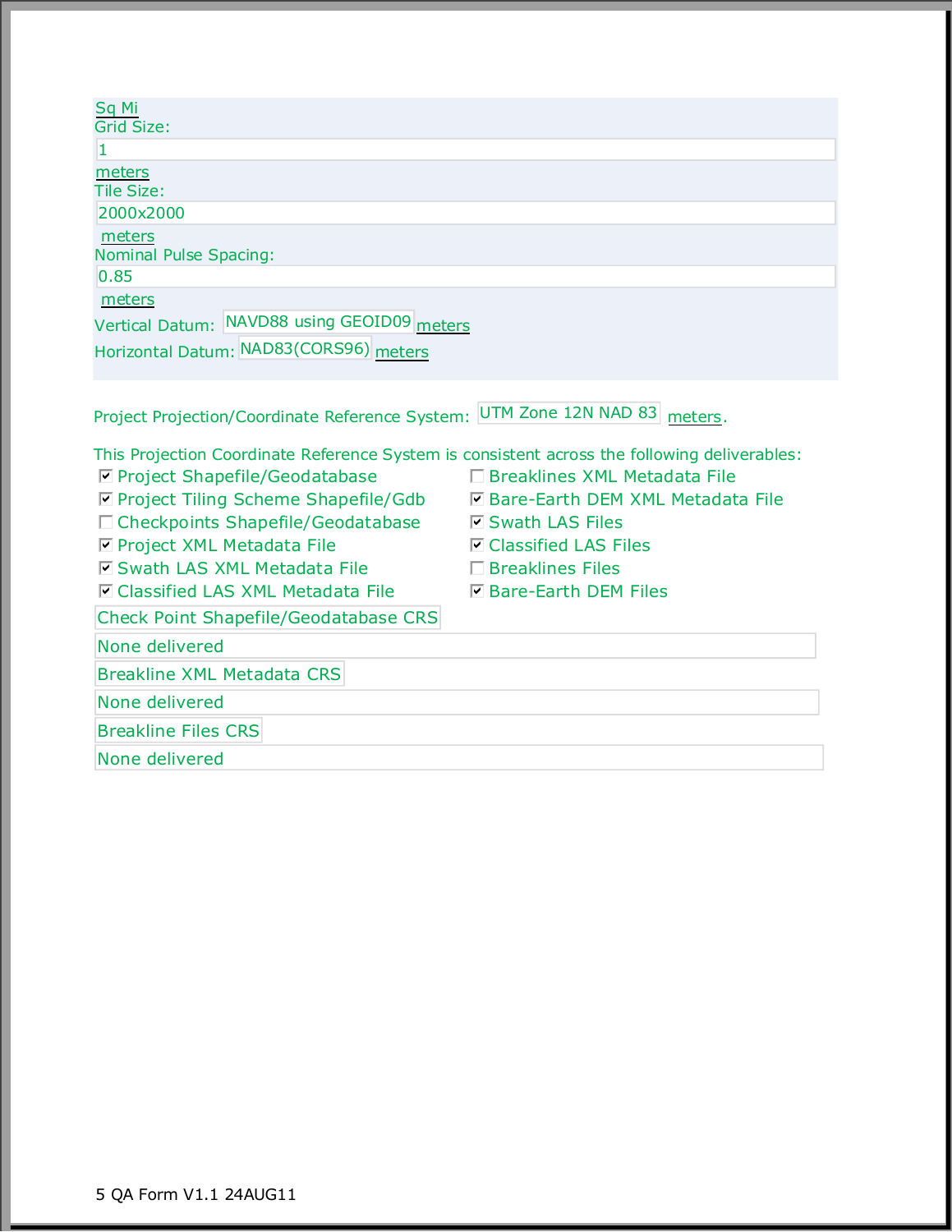| <b>Sq Mi</b><br>Grid Size:                                                                                                                                                  |                                                       |
|-----------------------------------------------------------------------------------------------------------------------------------------------------------------------------|-------------------------------------------------------|
| 1.                                                                                                                                                                          |                                                       |
| meters<br><b>Tile Size:</b>                                                                                                                                                 |                                                       |
| 2000x2000                                                                                                                                                                   |                                                       |
| meters<br>Nominal Pulse Spacing:<br>0.85                                                                                                                                    |                                                       |
| meters                                                                                                                                                                      |                                                       |
| Vertical Datum: NAVD88 using GEOID09 meters<br>Horizontal Datum: NAD83(CORS96) meters                                                                                       |                                                       |
| Project Projection/Coordinate Reference System: UTM Zone 12N NAD 83 meters.<br>This Projection Coordinate Reference System is consistent across the following deliverables: |                                                       |
| ☑ Project Shapefile/Geodatabase                                                                                                                                             | □ Breaklines XML Metadata File                        |
| □ Project Tiling Scheme Shapefile/Gdb                                                                                                                                       | □ Bare-Earth DEM XML Metadata File                    |
| □ Checkpoints Shapefile/Geodatabase                                                                                                                                         | <b>Ø</b> Swath LAS Files                              |
| □ Project XML Metadata File                                                                                                                                                 | <b><math>\blacksquare</math></b> Classified LAS Files |
| <b>Ø</b> Swath LAS XML Metadata File                                                                                                                                        | $\Box$ Breaklines Files                               |
| <b>□ Classified LAS XML Metadata File</b>                                                                                                                                   | <b>☑ Bare-Earth DEM Files</b>                         |
| <b>Check Point Shapefile/Geodatabase CRS</b>                                                                                                                                |                                                       |
| None delivered                                                                                                                                                              |                                                       |
| <b>Breakline XML Metadata CRS</b>                                                                                                                                           |                                                       |
| None delivered                                                                                                                                                              |                                                       |
| <b>Breakline Files CRS</b>                                                                                                                                                  |                                                       |

None delivered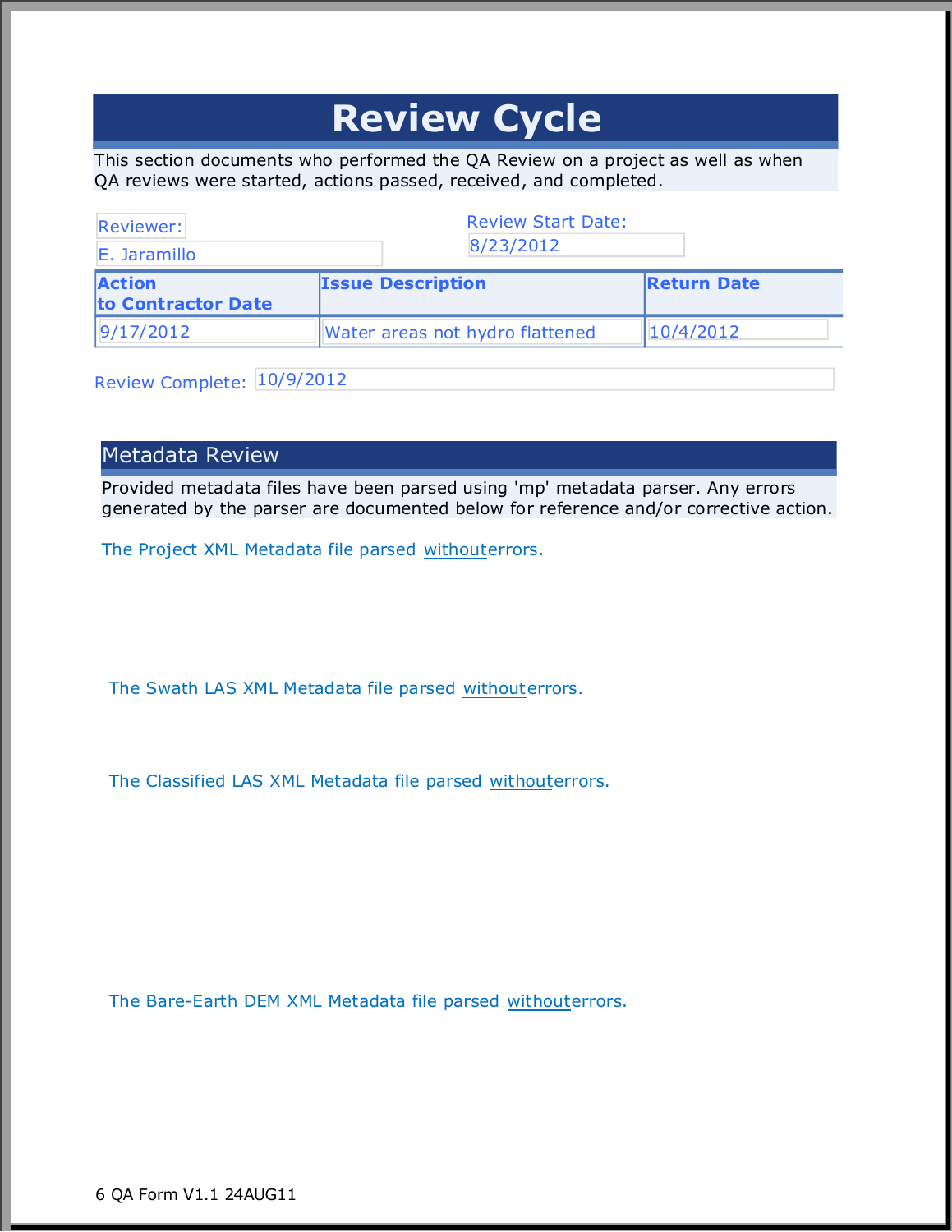## **Review Cycle**

This section documents who performed the QA Review on a project as well as when QA reviews were started, actions passed, received, and completed.

| Reviewer:                           |                                 |                    |
|-------------------------------------|---------------------------------|--------------------|
| E. Jaramillo                        | 8/23/2012                       |                    |
| <b>Action</b><br>to Contractor Date | <b>Issue Description</b>        | <b>Return Date</b> |
| 9/17/2012                           | Water areas not hydro flattened | 10/4/2012          |

Review Complete: 10/9/2012

### Metadata Review

Provided metadata files have been parsed using 'mp' metadata parser. Any errors generated by the parser are documented below for reference and/or corrective action.

The Project XML Metadata file parsed withouterrors.

The Swath LAS XML Metadata file parsed withouterrors.

The Classified LAS XML Metadata file parsed withouterrors.

The Bare-Earth DEM XML Metadata file parsed withouterrors.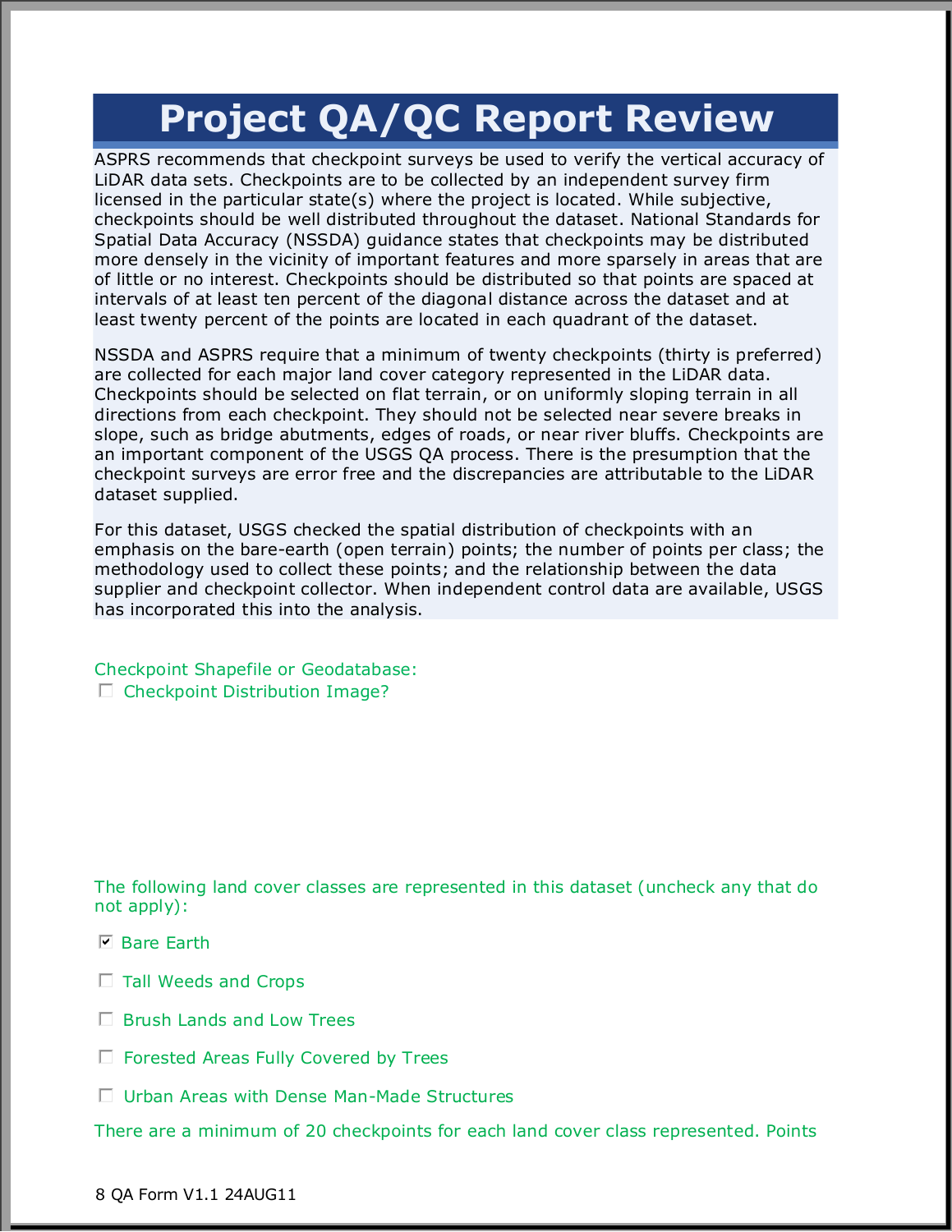## **Project QA/QC Report Review**

ASPRS recommends that checkpoint surveys be used to verify the vertical accuracy of LiDAR data sets. Checkpoints are to be collected by an independent survey firm licensed in the particular state(s) where the project is located. While subjective, checkpoints should be well distributed throughout the dataset. National Standards for Spatial Data Accuracy (NSSDA) guidance states that checkpoints may be distributed more densely in the vicinity of important features and more sparsely in areas that are of little or no interest. Checkpoints should be distributed so that points are spaced at intervals of at least ten percent of the diagonal distance across the dataset and at least twenty percent of the points are located in each quadrant of the dataset.

NSSDA and ASPRS require that a minimum of twenty checkpoints (thirty is preferred) are collected for each major land cover category represented in the LiDAR data. Checkpoints should be selected on flat terrain, or on uniformly sloping terrain in all directions from each checkpoint. They should not be selected near severe breaks in slope, such as bridge abutments, edges of roads, or near river bluffs. Checkpoints are an important component of the USGS QA process. There is the presumption that the checkpoint surveys are error free and the discrepancies are attributable to the LiDAR dataset supplied.

For this dataset, USGS checked the spatial distribution of checkpoints with an emphasis on the bare-earth (open terrain) points; the number of points per class; the methodology used to collect these points; and the relationship between the data supplier and checkpoint collector. When independent control data are available, USGS has incorporated this into the analysis.

Checkpoint Shapefile or Geodatabase:  $\Box$  Checkpoint Distribution Image?

The following land cover classes are represented in this dataset (uncheck any that do not apply):

- **☑ Bare Earth**
- $\Box$  Tall Weeds and Crops
- $\Box$  Brush Lands and Low Trees
- $\Box$  Forested Areas Fully Covered by Trees
- $\Box$  Urban Areas with Dense Man-Made Structures

There are a minimum of 20 checkpoints for each land cover class represented. Points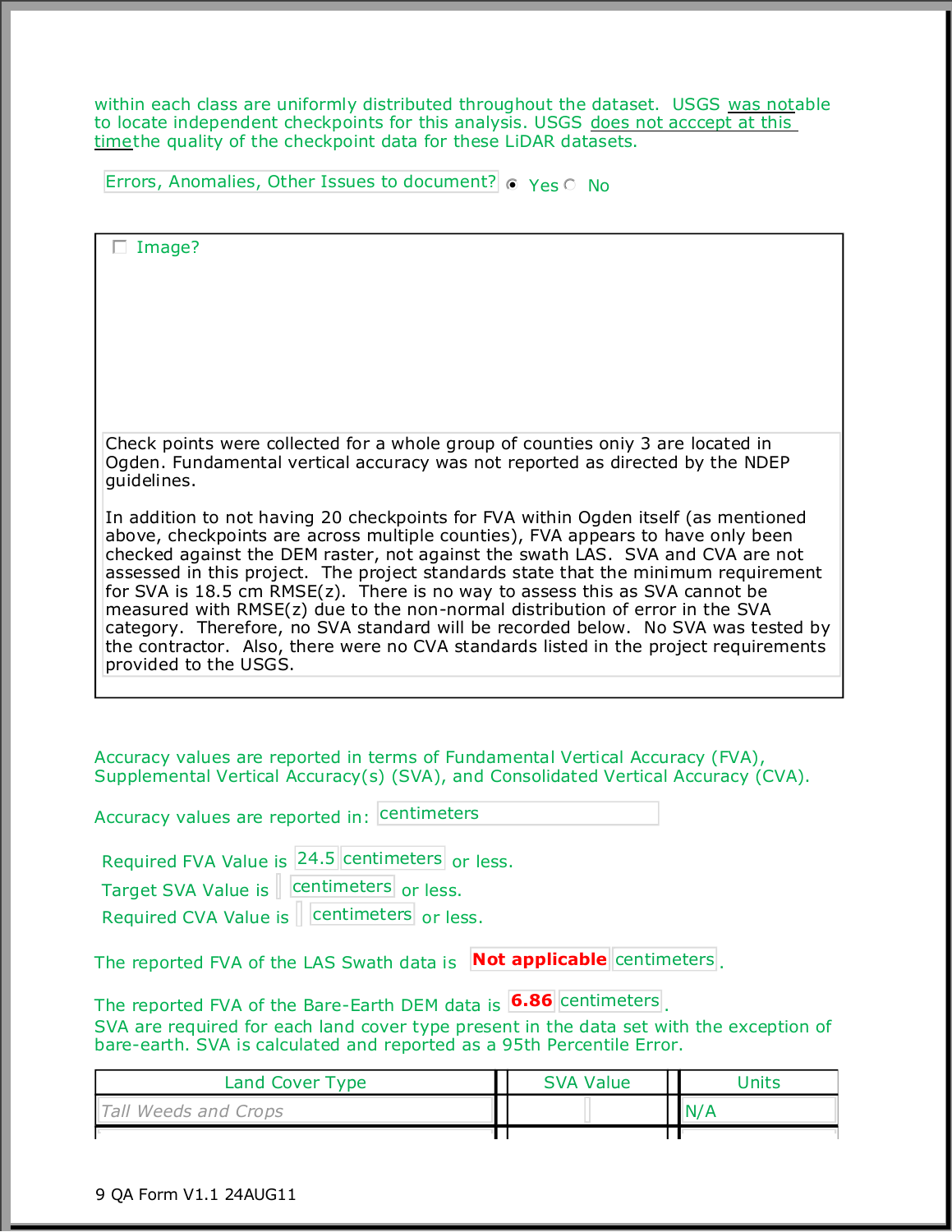within each class are uniformly distributed throughout the dataset. USGS was notable to locate independent checkpoints for this analysis. USGS does not acccept at this timethe quality of the checkpoint data for these LiDAR datasets.

Errors, Anomalies, Other Issues to document?  $\bullet$  Yes  $\circ$  No

| Image?                                                                                                                                                                    |  |                  |  |              |  |
|---------------------------------------------------------------------------------------------------------------------------------------------------------------------------|--|------------------|--|--------------|--|
|                                                                                                                                                                           |  |                  |  |              |  |
|                                                                                                                                                                           |  |                  |  |              |  |
|                                                                                                                                                                           |  |                  |  |              |  |
|                                                                                                                                                                           |  |                  |  |              |  |
|                                                                                                                                                                           |  |                  |  |              |  |
| Check points were collected for a whole group of counties only 3 are located in                                                                                           |  |                  |  |              |  |
| Ogden. Fundamental vertical accuracy was not reported as directed by the NDEP<br>guidelines.                                                                              |  |                  |  |              |  |
| In addition to not having 20 checkpoints for FVA within Ogden itself (as mentioned                                                                                        |  |                  |  |              |  |
| above, checkpoints are across multiple counties), FVA appears to have only been<br>checked against the DEM raster, not against the swath LAS. SVA and CVA are not         |  |                  |  |              |  |
| assessed in this project. The project standards state that the minimum requirement<br>for SVA is 18.5 cm RMSE(z). There is no way to assess this as SVA cannot be         |  |                  |  |              |  |
| measured with RMSE(z) due to the non-normal distribution of error in the SVA                                                                                              |  |                  |  |              |  |
| category. Therefore, no SVA standard will be recorded below. No SVA was tested by<br>the contractor. Also, there were no CVA standards listed in the project requirements |  |                  |  |              |  |
| provided to the USGS.                                                                                                                                                     |  |                  |  |              |  |
|                                                                                                                                                                           |  |                  |  |              |  |
|                                                                                                                                                                           |  |                  |  |              |  |
| Accuracy values are reported in terms of Fundamental Vertical Accuracy (FVA),<br>Supplemental Vertical Accuracy(s) (SVA), and Consolidated Vertical Accuracy (CVA).       |  |                  |  |              |  |
| Accuracy values are reported in: centimeters                                                                                                                              |  |                  |  |              |  |
| Required FVA Value is 24.5 centimeters or less.                                                                                                                           |  |                  |  |              |  |
| Target SVA Value is   centimeters or less.                                                                                                                                |  |                  |  |              |  |
|                                                                                                                                                                           |  |                  |  |              |  |
| The reported FVA of the LAS Swath data is <b>Not applicable</b> centimeters                                                                                               |  |                  |  |              |  |
| The reported FVA of the Bare-Earth DEM data is <b>6.86</b> centimeters                                                                                                    |  |                  |  |              |  |
| SVA are required for each land cover type present in the data set with the exception of<br>bare-earth. SVA is calculated and reported as a 95th Percentile Error.         |  |                  |  |              |  |
| Land Cover Type                                                                                                                                                           |  | <b>SVA Value</b> |  | <b>Units</b> |  |
| Tall Weeds and Crops                                                                                                                                                      |  |                  |  | N/A          |  |

┯

ϯϯ═

F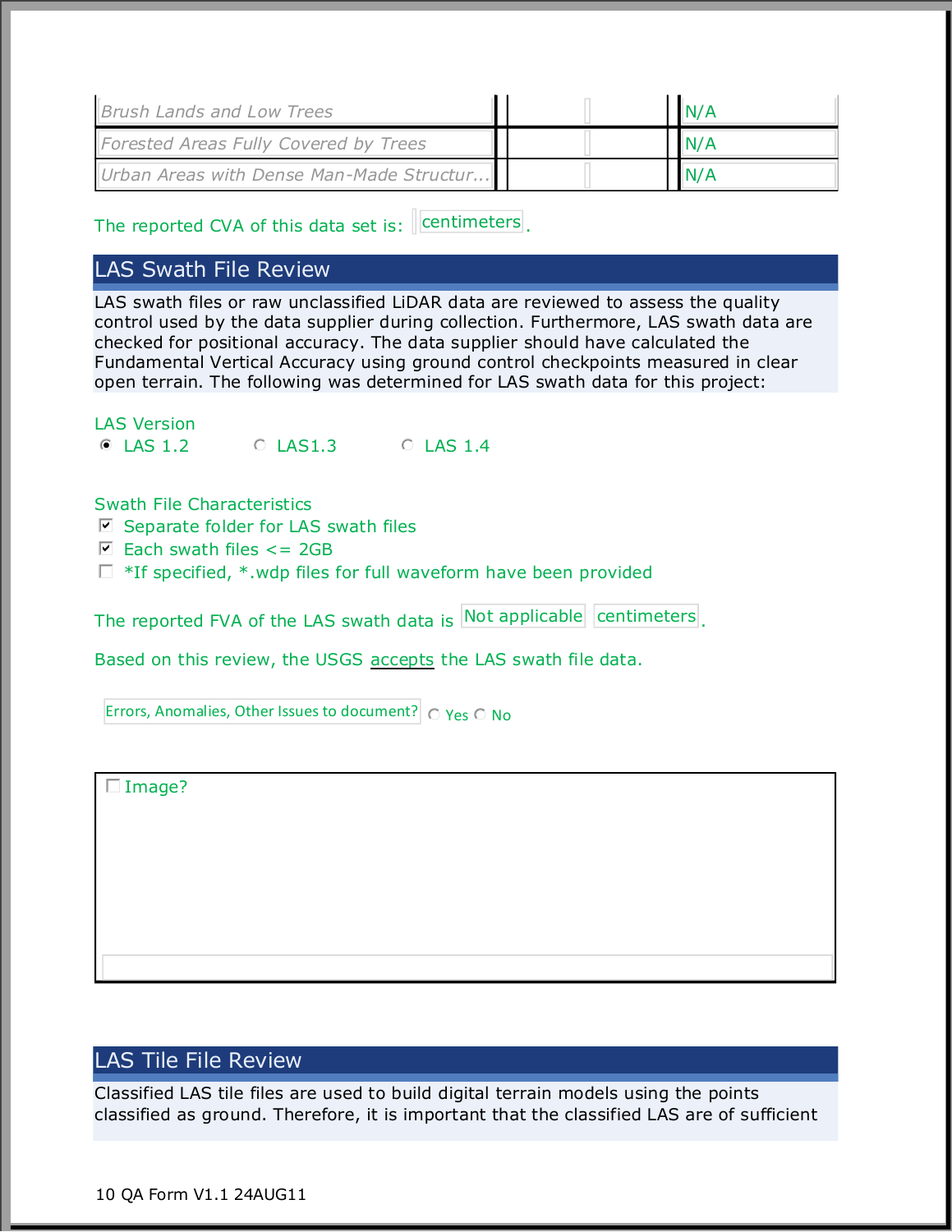| <b>Brush Lands and Low Trees</b>         |  | N/A  |  |
|------------------------------------------|--|------|--|
| Forested Areas Fully Covered by Trees    |  | IN/A |  |
| Urban Areas with Dense Man-Made Structur |  | N/A  |  |

The reported CVA of this data set is:  $\parallel$  centimeters.

## LAS Swath File Review

LAS swath files or raw unclassified LiDAR data are reviewed to assess the quality control used by the data supplier during collection. Furthermore, LAS swath data are checked for positional accuracy. The data supplier should have calculated the Fundamental Vertical Accuracy using ground control checkpoints measured in clear open terrain. The following was determined for LAS swath data for this project:

LAS Version  $\bullet$  LAS 1.2  $\circ$  LAS 1.3  $\circ$  LAS 1.4

Swath File Characteristics

- $\triangledown$  Separate folder for LAS swath files
- $\Box$  Each swath files  $<=$  2GB
- $\Box$  \*If specified, \*.wdp files for full waveform have been provided

The reported FVA of the LAS swath data is Not applicable centimeters.

Based on this review, the USGS accepts the LAS swath file data.

Errors, Anomalies, Other Issues to document?  $\int$   $\bigcirc$  Yes  $\bigcirc$  No

 $\Box$  Image?

## LAS Tile File Review

Classified LAS tile files are used to build digital terrain models using the points classified as ground. Therefore, it is important that the classified LAS are of sufficient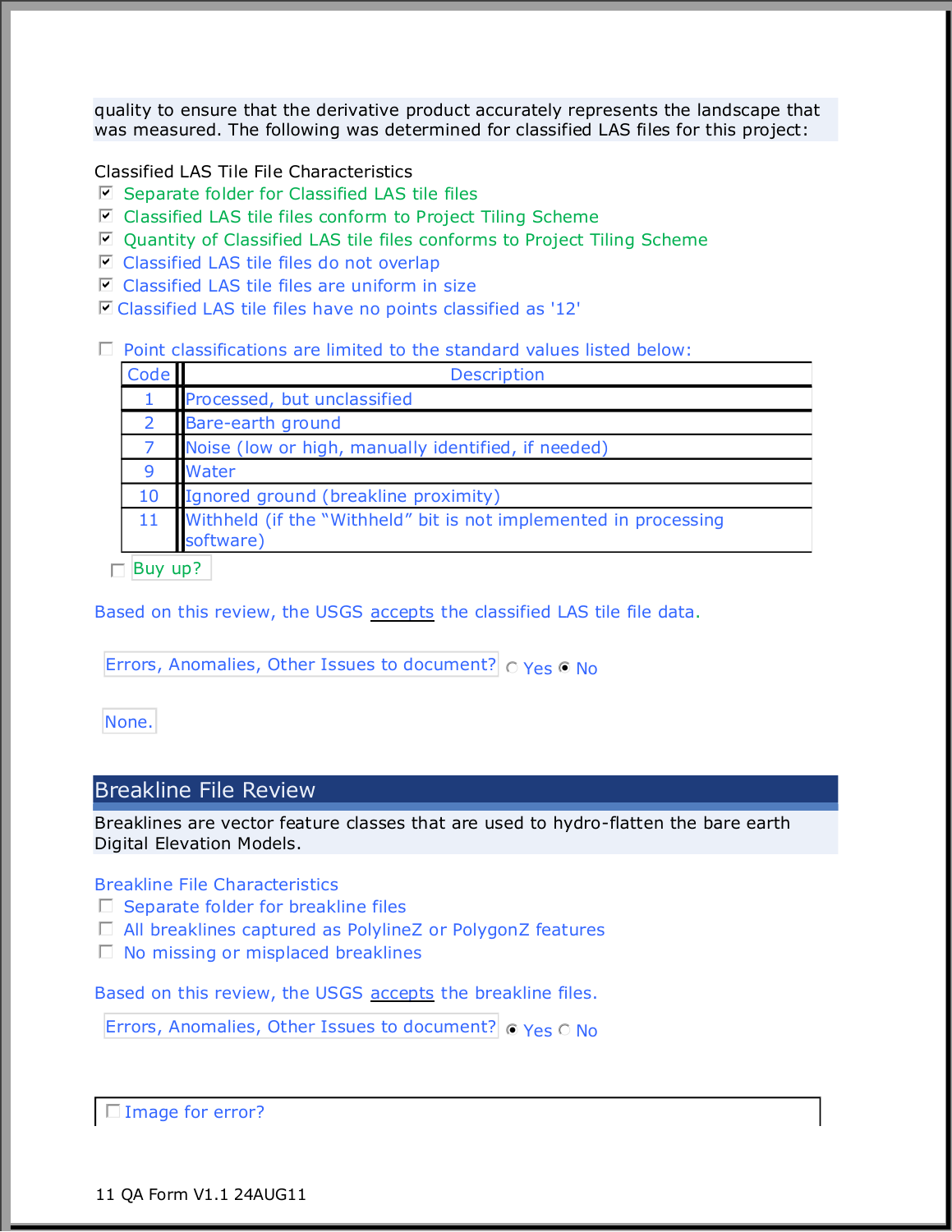quality to ensure that the derivative product accurately represents the landscape that was measured. The following was determined for classified LAS files for this project:

Classified LAS Tile File Characteristics

- $\boxdot$  Separate folder for Classified LAS tile files
- $\boxdot$  Classified LAS tile files conform to Project Tiling Scheme
- $\boxdot$  Quantity of Classified LAS tile files conforms to Project Tiling Scheme
- $\boxdot$  Classified LAS tile files do not overlap
- $\blacksquare$  Classified LAS tile files are uniform in size
- $\boxdot$  Classified LAS tile files have no points classified as '12'

#### $\square$  Point classifications are limited to the standard values listed below:

| <b>Code</b> | <b>Description</b>                                                            |  |  |  |
|-------------|-------------------------------------------------------------------------------|--|--|--|
|             | Processed, but unclassified                                                   |  |  |  |
| 2           | Bare-earth ground                                                             |  |  |  |
|             | Noise (low or high, manually identified, if needed)                           |  |  |  |
| 9           | Water                                                                         |  |  |  |
| 10          | Ignored ground (breakline proximity)                                          |  |  |  |
| 11          | Withheld (if the "Withheld" bit is not implemented in processing<br>software) |  |  |  |

 $\Box$  Buy up?

Based on this review, the USGS accepts the classified LAS tile file data.

Errors, Anomalies, Other Issues to document?  $\circ$  Yes  $\circ$  No

None.

### Breakline File Review

Breaklines are vector feature classes that are used to hydro-flatten the bare earth Digital Elevation Models.

Breakline File Characteristics

- $\Box$  Separate folder for breakline files
- □ All breaklines captured as PolylineZ or PolygonZ features
- $\Box$  No missing or misplaced breaklines

Based on this review, the USGS accepts the breakline files.

Errors, Anomalies, Other Issues to document?  $\sigma$  Yes  $\sigma$  No

 $\Box$  Image for error?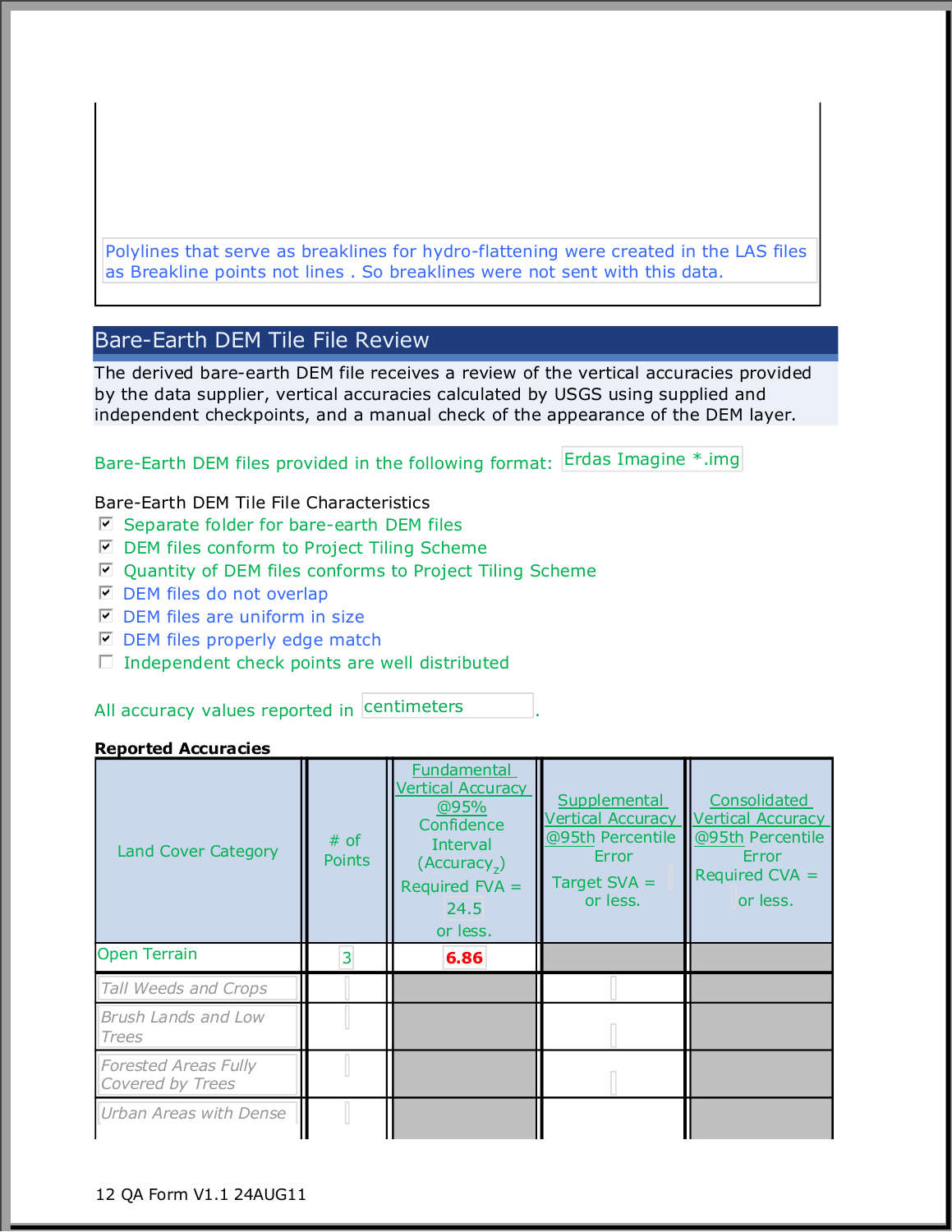Polylines that serve as breaklines for hydro-flattening were created in the LAS files as Breakline points not lines . So breaklines were not sent with this data.

## Bare-Earth DEM Tile File Review

The derived bare-earth DEM file receives a review of the vertical accuracies provided by the data supplier, vertical accuracies calculated by USGS using supplied and independent checkpoints, and a manual check of the appearance of the DEM layer.

Bare-Earth DEM files provided in the following format: Erdas Imagine \*.img

#### Bare-Earth DEM Tile File Characteristics

- $\blacksquare$  Separate folder for bare-earth DEM files
- $\blacksquare$  DEM files conform to Project Tiling Scheme
- $\blacksquare$  Quantity of DEM files conforms to Project Tiling Scheme
- $\Box$  DEM files do not overlap
- $\blacksquare$  DEM files are uniform in size
- $\blacksquare$  DEM files properly edge match
- $\Box$  Independent check points are well distributed

#### All accuracy values reported in centimeters [10].

#### **Reported Accuracies**

| <b>Land Cover Category</b>                      | $#$ of<br><b>Points</b> | <b>Fundamental</b><br><b>Vertical Accuracy</b><br>@95%<br>Confidence<br>Interval<br>(Accuracy <sub>7</sub> )<br>Required $FVA =$<br>24.5<br>or less. | Supplemental<br><b>Vertical Accuracy</b><br>@95th Percentile<br>Error<br>Target $SVA =$<br>or less. | Consolidated<br><b>Vertical Accuracy</b><br>@95th Percentile<br>Error<br>Required $CVA =$<br>or less. |
|-------------------------------------------------|-------------------------|------------------------------------------------------------------------------------------------------------------------------------------------------|-----------------------------------------------------------------------------------------------------|-------------------------------------------------------------------------------------------------------|
| <b>Open Terrain</b>                             | 3                       | 6.86                                                                                                                                                 |                                                                                                     |                                                                                                       |
| Tall Weeds and Crops                            |                         |                                                                                                                                                      |                                                                                                     |                                                                                                       |
| <b>Brush Lands and Low</b><br>Trees             |                         |                                                                                                                                                      |                                                                                                     |                                                                                                       |
| <b>Forested Areas Fully</b><br>Covered by Trees |                         |                                                                                                                                                      |                                                                                                     |                                                                                                       |
| Urban Areas with Dense                          |                         |                                                                                                                                                      |                                                                                                     |                                                                                                       |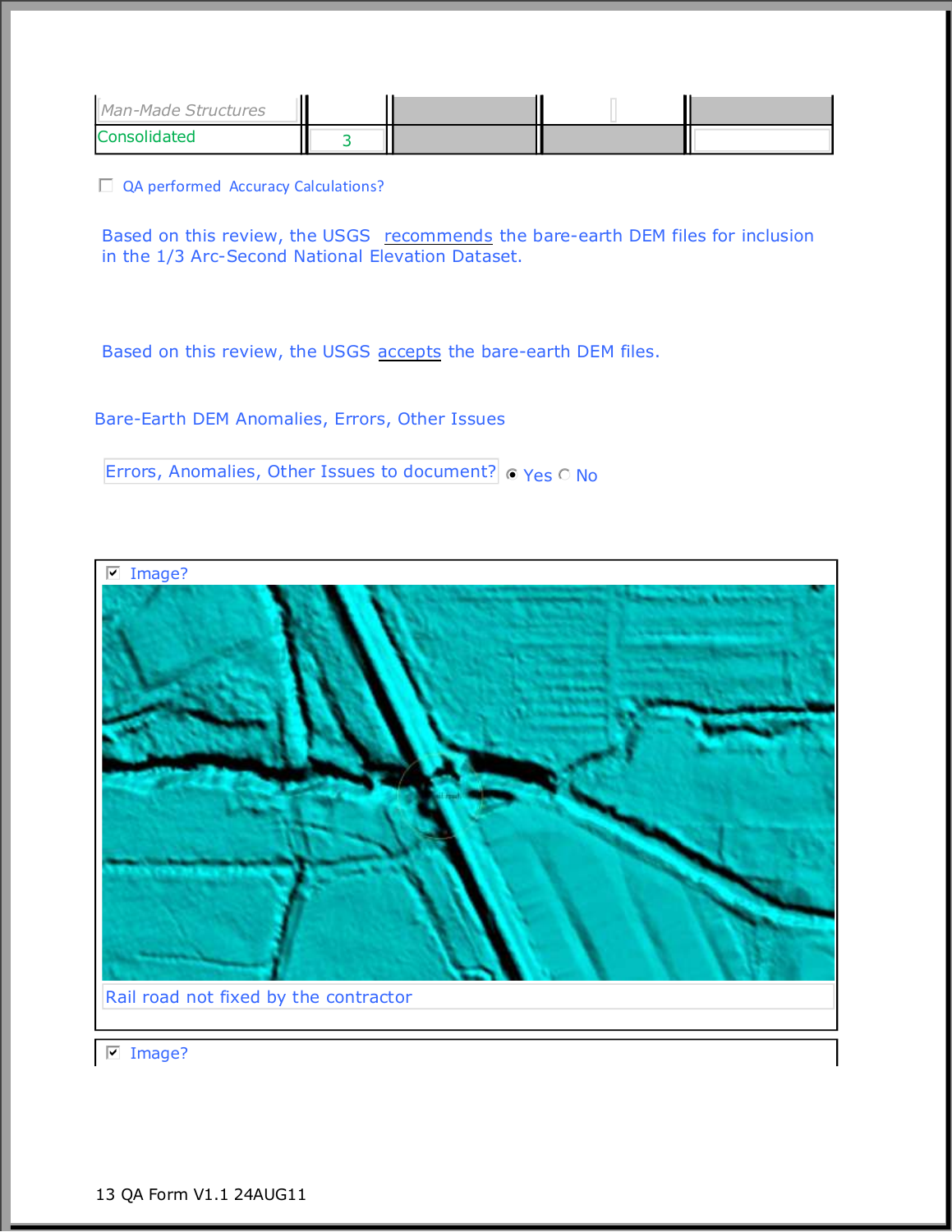| Man-Made Structures |  |  |
|---------------------|--|--|
| <b>Consolidated</b> |  |  |

 $\Box$  QA performed Accuracy Calculations?

Based on this review, the USGS recommends the bare-earth DEM files for inclusion in the 1/3 Arc-Second National Elevation Dataset.

Based on this review, the USGS accepts the bare-earth DEM files.

Bare-Earth DEM Anomalies, Errors, Other Issues

Errors, Anomalies, Other Issues to document?  $\circ$  Yes  $\circ$  No



 $\nabla$  Image?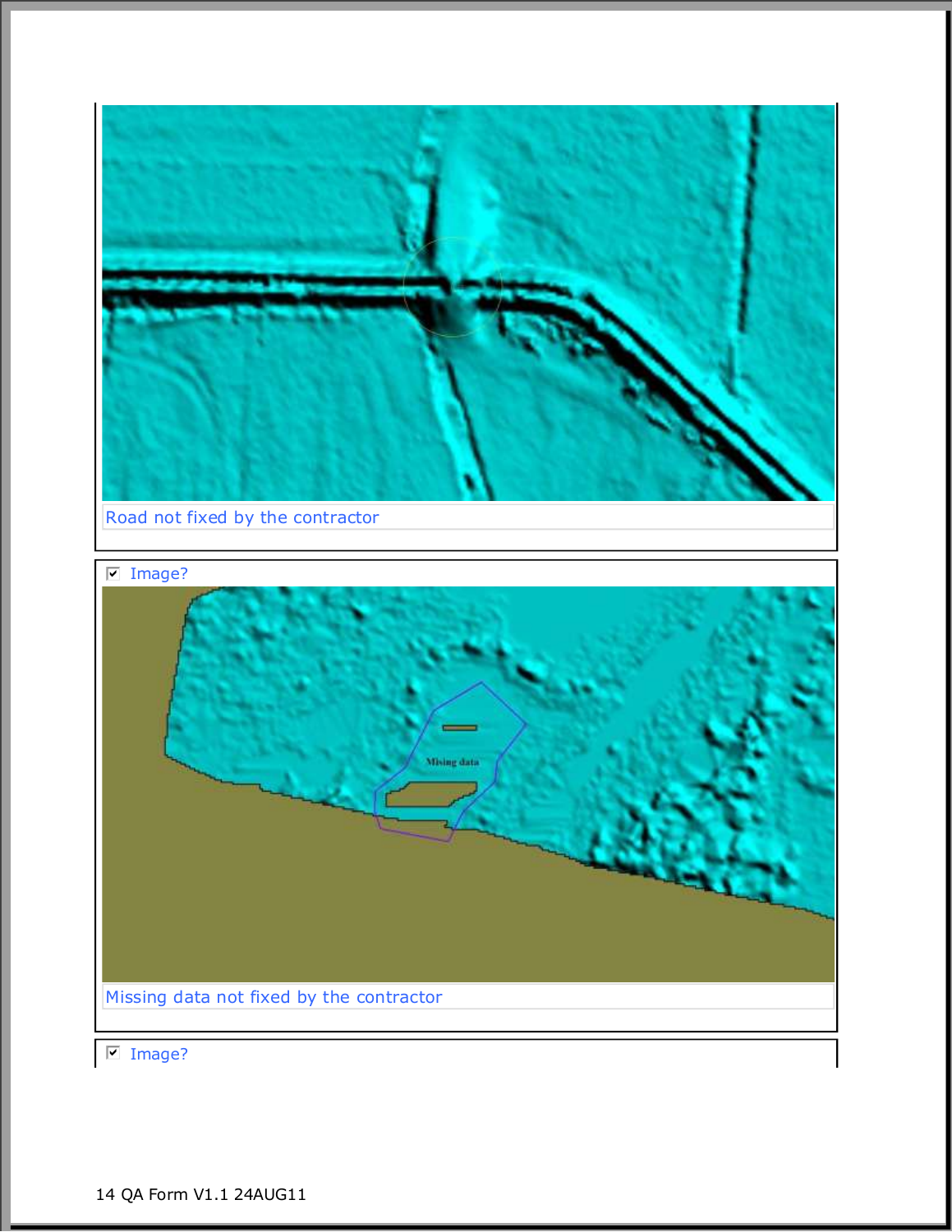

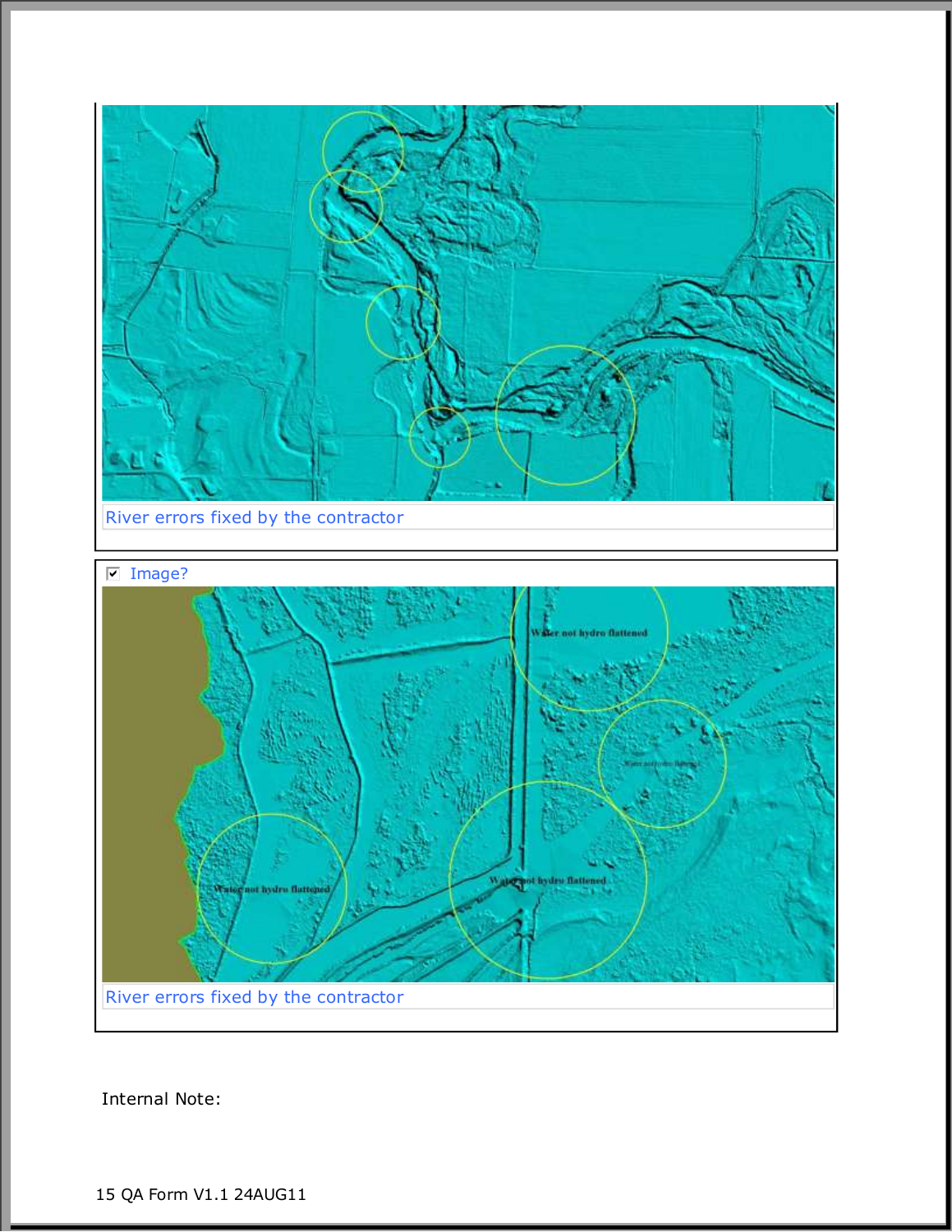

Internal Note: